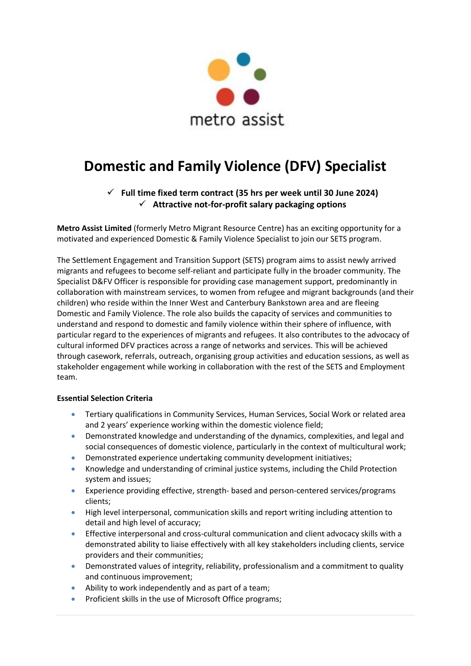

# **Domestic and Family Violence (DFV) Specialist**

✓ **Full time fixed term contract (35 hrs per week until 30 June 2024)** ✓ **Attractive not-for-profit salary packaging options**

**Metro Assist Limited** (formerly Metro Migrant Resource Centre) has an exciting opportunity for a motivated and experienced Domestic & Family Violence Specialist to join our SETS program.

The Settlement Engagement and Transition Support (SETS) program aims to assist newly arrived migrants and refugees to become self-reliant and participate fully in the broader community. The Specialist D&FV Officer is responsible for providing case management support, predominantly in collaboration with mainstream services, to women from refugee and migrant backgrounds (and their children) who reside within the Inner West and Canterbury Bankstown area and are fleeing Domestic and Family Violence. The role also builds the capacity of services and communities to understand and respond to domestic and family violence within their sphere of influence, with particular regard to the experiences of migrants and refugees. It also contributes to the advocacy of cultural informed DFV practices across a range of networks and services. This will be achieved through casework, referrals, outreach, organising group activities and education sessions, as well as stakeholder engagement while working in collaboration with the rest of the SETS and Employment team.

### **Essential Selection Criteria**

- Tertiary qualifications in Community Services, Human Services, Social Work or related area and 2 years' experience working within the domestic violence field;
- Demonstrated knowledge and understanding of the dynamics, complexities, and legal and social consequences of domestic violence, particularly in the context of multicultural work;
- Demonstrated experience undertaking community development initiatives;
- Knowledge and understanding of criminal justice systems, including the Child Protection system and issues;
- Experience providing effective, strength- based and person-centered services/programs clients;
- High level interpersonal, communication skills and report writing including attention to detail and high level of accuracy;
- Effective interpersonal and cross-cultural communication and client advocacy skills with a demonstrated ability to liaise effectively with all key stakeholders including clients, service providers and their communities;
- Demonstrated values of integrity, reliability, professionalism and a commitment to quality and continuous improvement;
- Ability to work independently and as part of a team;
- Proficient skills in the use of Microsoft Office programs;